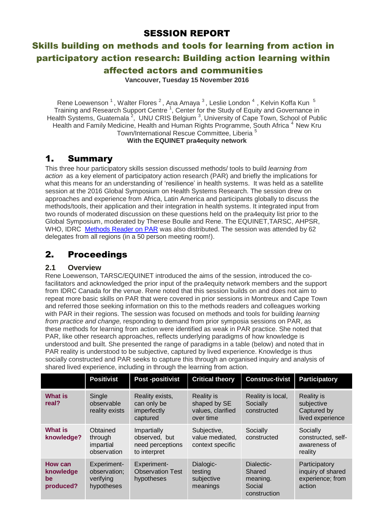## SESSION REPORT

# Skills building on methods and tools for learning from action in participatory action research: Building action learning within affected actors and communities

**Vancouver, Tuesday 15 November 2016**

Rene Loewenson <sup>1</sup>, Walter Flores <sup>2</sup>, Ana Amaya <sup>3</sup>, Leslie London <sup>4</sup>, Kelvin Koffa Kun <sup>5</sup> Training and Research Support Centre<sup>1</sup>, Center for the Study of Equity and Governance in Health Systems, Guatemala<sup>2</sup>, UNU CRIS Belgium<sup>3</sup>, University of Cape Town, School of Public Health and Family Medicine, Health and Human Rights Programme, South Africa<sup>4</sup> New Kru Town/International Rescue Committee, Liberia <sup>5</sup> **With the EQUINET pra4equity network**

## 1. Summary

This three hour participatory skills session discussed methods/ tools to build *learning from action* as a key element of participatory action research (PAR) and briefly the implications for what this means for an understanding of 'resilience' in health systems. It was held as a satellite session at the 2016 Global Symposium on Health Systems Research. The session drew on approaches and experience from Africa, Latin America and participants globally to discuss the methods/tools, their application and their integration in health systems. It integrated input from two rounds of moderated discussion on these questions held on the pra4equity list prior to the Global Symposium, moderated by Therese Boulle and Rene. The EQUINET,TARSC, AHPSR, WHO, IDRC [Methods](http://www.equinetafrica.org/sites/default/files/uploads/documents/PAR_Methods_Reader2014_for_web.pdf) Reader on PAR was also distributed. The session was attended by 62 delegates from all regions (in a 50 person meeting room!).

# 2. Proceedings

## **2.1 Overview**

Rene Loewenson, TARSC/EQUINET introduced the aims of the session, introduced the cofacilitators and acknowledged the prior input of the pra4equity network members and the support from IDRC Canada for the venue. Rene noted that this session builds on and does not aim to repeat more basic skills on PAR that were covered in prior sessions in Montreux and Cape Town and referred those seeking information on this to the methods readers and colleagues working with PAR in their regions. The session was focused on methods and tools for building *learning from practice and change,* responding to demand from prior symposia sessions on PAR, as these methods for learning from action were identified as weak in PAR practice. She noted that PAR, like other research approaches, reflects underlying paradigms of how knowledge is understood and built. She presented the range of paradigms in a table (below) and noted that in PAR reality is understood to be subjective, captured by lived experience. Knowledge is thus socially constructed and PAR seeks to capture this through an organised inquiry and analysis of shared lived experience, including in through the learning from action.

|                                         | <b>Positivist</b>                                      | Post -positivist                                                        | <b>Critical theory</b>                                              | <b>Construc-tivist</b>                                     | <b>Participatory</b>                                               |
|-----------------------------------------|--------------------------------------------------------|-------------------------------------------------------------------------|---------------------------------------------------------------------|------------------------------------------------------------|--------------------------------------------------------------------|
| What is<br>real?                        | Single<br>observable<br>reality exists                 | Reality exists,<br>can only be<br>imperfectly<br>captured               | <b>Reality is</b><br>shaped by SE<br>values, clarified<br>over time | Reality is local,<br>Socially<br>constructed               | <b>Reality is</b><br>subjective<br>Captured by<br>lived experience |
| What is<br>knowledge?                   | Obtained<br>through<br>impartial<br>observation        | <b>Impartially</b><br>observed, but<br>need perceptions<br>to interpret | Subjective,<br>value mediated.<br>context specific                  | Socially<br>constructed                                    | Socially<br>constructed, self-<br>awareness of<br>reality          |
| How can<br>knowledge<br>be<br>produced? | Experiment-<br>observation;<br>verifying<br>hypotheses | Experiment-<br><b>Observation Test</b><br>hypotheses                    | Dialogic-<br>testing<br>subjective<br>meanings                      | Dialectic-<br>Shared<br>meaning.<br>Social<br>construction | Participatory<br>inquiry of shared<br>experience; from<br>action   |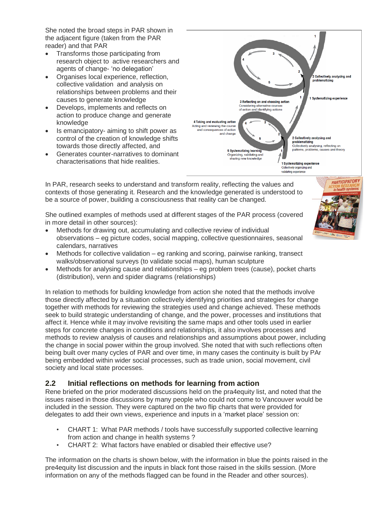She noted the broad steps in PAR shown in the adjacent figure (taken from the PAR reader) and that PAR

- Transforms those participating from research object to active researchers and agents of change- 'no delegation'
- Organises local experience, reflection, collective validation and analysis on relationships between problems and their causes to generate knowledge
- Develops, implements and reflects on action to produce change and generate knowledge
- Is emancipatory- aiming to shift power as control of the creation of knowledge shifts towards those directly affected, and
- Generates counter-narratives to dominant characterisations that hide realities.



In PAR, research seeks to understand and transform reality, reflecting the values and contexts of those generating it. Research and the knowledge generated is understood to be a source of power, building a consciousness that reality can be changed.

She outlined examples of methods used at different stages of the PAR process (covered in more detail in other sources):

- Methods for drawing out, accumulating and collective review of individual observations – eg picture codes, social mapping, collective questionnaires, seasonal calendars, narratives
- Methods for collective validation eg ranking and scoring, pairwise ranking, transect walks/observational surveys (to validate social maps), human sculpture
- Methods for analysing cause and relationships eg problem trees (cause), pocket charts (distribution), venn and spider diagrams (relationships)

In relation to methods for building knowledge from action she noted that the methods involve those directly affected by a situation collectively identifying priorities and strategies for change together with methods for reviewing the strategies used and change achieved. These methods seek to build strategic understanding of change, and the power, processes and institutions that affect it. Hence while it may involve revisiting the same maps and other tools used in earlier steps for concrete changes in conditions and relationships, it also involves processes and methods to review analysis of causes and relationships and assumptions about power, including the change in social power within the group involved. She noted that with such reflections often being built over many cycles of PAR and over time, in many cases the continuity is built by PAr being embedded within wider social processes, such as trade union, social movement, civil society and local state processes.

## **2.2 Initial reflections on methods for learning from action**

Rene briefed on the prior moderated discussions held on the pra4equity list, and noted that the issues raised in those discussions by many people who could not come to Vancouver would be included in the session. They were captured on the two flip charts that were provided for delegates to add their own views, experience and inputs in a 'market place' session on:

- CHART 1: What PAR methods / tools have successfully supported collective learning from action and change in health systems ?
- CHART 2: What factors have enabled or disabled their effective use?

The information on the charts is shown below, with the information in blue the points raised in the pre4equity list discussion and the inputs in black font those raised in the skills session. (More information on any of the methods flagged can be found in the Reader and other sources).

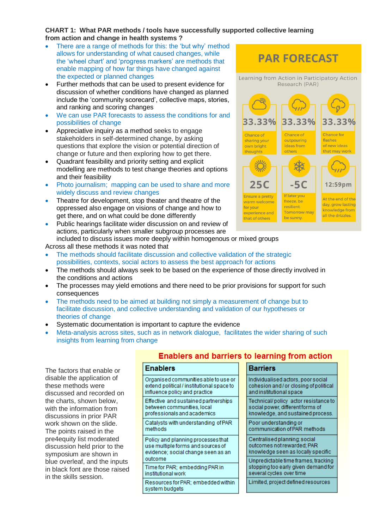### **CHART 1: What PAR methods / tools have successfully supported collective learning from action and change in health systems ?**

- There are a range of methods for this: the 'but why' method allows for understanding of what caused changes, while the 'wheel chart' and 'progress markers' are methods that enable mapping of how far things have changed against the expected or planned changes
- Further methods that can be used to present evidence for discussion of whether conditions have changed as planned include the 'community scorecard', collective maps, stories, and ranking and scoring changes
- We can use PAR forecasts to assess the conditions for and possibilities of change
- Appreciative inquiry as a method seeks to engage stakeholders in self-determined change, by asking questions that explore the vision or potential direction of change or future and then exploring how to get there.
- Quadrant feasibility and priority setting and explicit modelling are methods to test change theories and options and their feasibility
- Photo journalism; mapping can be used to share and more widely discuss and review changes
- Theatre for development, stop theater and theatre of the oppressed also engage on visions of change and how to get there, and on what could be done differently
- Public hearings facilitate wider discussion on and review of actions, particularly when smaller subgroup processes are included to discuss issues more deeply within homogenous or mixed groups

Across all these methods it was noted that

- The methods should facilitate discussion and collective validation of the strategic possibilities, contexts, social actors to assess the best approach for actions
- The methods should always seek to be based on the experience of those directly involved in the conditions and actions
- The processes may yield emotions and there need to be prior provisions for support for such consequences
- The methods need to be aimed at building not simply a measurement of change but to facilitate discussion, and collective understanding and validation of our hypotheses or theories of change
- Systematic documentation is important to capture the evidence
- Meta-analysis across sites, such as in network dialogue, facilitates the wider sharing of such insights from learning from change

The factors that enable or disable the application of these methods were discussed and recorded on the charts, shown below, with the information from discussions in prior PAR work shown on the slide. The points raised in the pre4equity list moderated discussion held prior to the symposium are shown in blue overleaf, and the inputs in black font are those raised in the skills session.

## **Enablers and barriers to learning from action**

| Enablers                                                                                                                 |
|--------------------------------------------------------------------------------------------------------------------------|
| Organised communities able to use or<br>extend political / institutional space to<br>influence policy and practice       |
| Effective and sustained partnerships<br>between communities, local<br>professionals and academics                        |
| Catalysts with understanding of PAR<br>methods                                                                           |
| Policy and planning processes that<br>use multiple forms and sources of<br>evidence; social change seen as an<br>outcome |
| Time for PAR: embedding PAR in<br>institutional work                                                                     |
| Resources for PAR: embedded within<br>svstem budgets                                                                     |



**PAR FORECAST** 

Individualised actors, poor social cohesion and/or closing of political and institutional space

**Barriers** 

Technical/policy actor resistance to social power, different forms of knowledge, and sustained process.

Poor understanding or communication of PAR methods

Centralised planning social outcomes not rewarded; PAR knowledge seen as locally specific

Unpredictable time frames, tracking stopping too early given demand for several cycles over time

Limited, project defined resources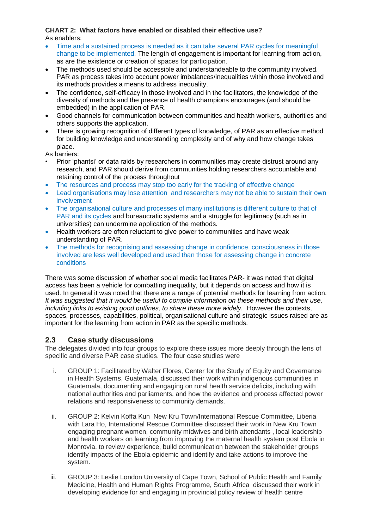#### **CHART 2: What factors have enabled or disabled their effective use?** As enablers:

- Time and a sustained process is needed as it can take several PAR cycles for meaningful change to be implemented. The length of engagement is important for learning from action, as are the existence or creation of spaces for participation.
- The methods used should be accessible and understandeable to the community involved. PAR as process takes into account power imbalances/inequalities within those involved and its methods provides a means to address inequality.
- The confidence, self-efficacy in those involved and in the facilitators, the knowledge of the diversity of methods and the presence of health champions encourages (and should be embedded) in the application of PAR.
- Good channels for communication between communities and health workers, authorities and others supports the application.
- There is growing recognition of different types of knowledge, of PAR as an effective method for building knowledge and understanding complexity and of why and how change takes place.

As barriers:

- Prior 'phantsi' or data raids by researchers in communities may create distrust around any research, and PAR should derive from communities holding researchers accountable and retaining control of the process throughout
- The resources and process may stop too early for the tracking of effective change
- Lead organisations may lose attention and researchers may not be able to sustain their own involvement
- The organisational culture and processes of many institutions is different culture to that of PAR and its cycles and bureaucratic systems and a struggle for legitimacy (such as in universities) can undermine application of the methods.
- Health workers are often reluctant to give power to communities and have weak understanding of PAR.
- The methods for recognising and assessing change in confidence, consciousness in those involved are less well developed and used than those for assessing change in concrete conditions

There was some discussion of whether social media facilitates PAR- it was noted that digital access has been a vehicle for combatting inequality, but it depends on access and how it is used. In general it was noted that there are a range of potential methods for learning from action. *It was suggested that it would be useful to compile information on these methods and their use, including links to existing good outlines, to share these more widely.* However the contexts, spaces, processes, capabilities, political, organisational culture and strategic issues raised are as important for the learning from action in PAR as the specific methods.

## **2.3 Case study discussions**

The delegates divided into four groups to explore these issues more deeply through the lens of specific and diverse PAR case studies. The four case studies were

- i. GROUP 1: Facilitated by Walter Flores, Center for the Study of Equity and Governance in Health Systems, Guatemala, discussed their work within indigenous communities in Guatemala, documenting and engaging on rural health service deficits, including with national authorities and parliaments, and how the evidence and process affected power relations and responsiveness to community demands.
- ii. GROUP 2: Kelvin Koffa Kun New Kru Town/International Rescue Committee, Liberia with Lara Ho, International Rescue Committee discussed their work in New Kru Town engaging pregnant women, community midwives and birth attendants , local leadership and health workers on learning from improving the maternal health system post Ebola in Monrovia, to review experience, build communication between the stakeholder groups identify impacts of the Ebola epidemic and identify and take actions to improve the system.
- iii. GROUP 3: Leslie London University of Cape Town, School of Public Health and Family Medicine, Health and Human Rights Programme, South Africa discussed their work in developing evidence for and engaging in provincial policy review of health centre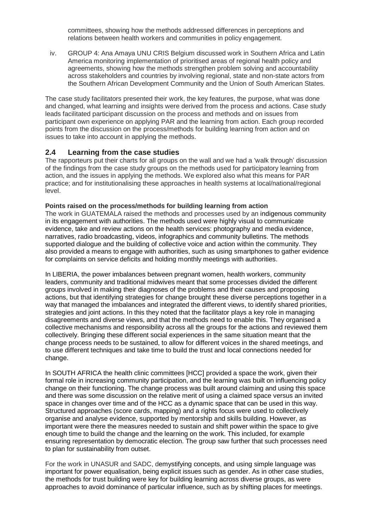committees, showing how the methods addressed differences in perceptions and relations between health workers and communities in policy engagement.

iv. GROUP 4: Ana Amaya UNU CRIS Belgium discussed work in Southern Africa and Latin America monitoring implementation of prioritised areas of regional health policy and agreements, showing how the methods strengthen problem solving and accountability across stakeholders and countries by involving regional, state and non-state actors from the Southern African Development Community and the Union of South American States.

The case study facilitators presented their work, the key features, the purpose, what was done and changed, what learning and insights were derived from the process and actions. Case study leads facilitated participant discussion on the process and methods and on issues from participant own experience on applying PAR and the learning from action. Each group recorded points from the discussion on the process/methods for building learning from action and on issues to take into account in applying the methods.

#### **2.4 Learning from the case studies**

The rapporteurs put their charts for all groups on the wall and we had a 'walk through' discussion of the findings from the case study groups on the methods used for participatory learning from action, and the issues in applying the methods. We explored also what this means for PAR practice; and for institutionalising these approaches in health systems at local/national/regional level.

#### **Points raised on the process/methods for building learning from action**

The work in GUATEMALA raised the methods and processes used by an indigenous community in its engagement with authorities. The methods used were highly visual to communicate evidence, take and review actions on the health services: photography and media evidence, narratives, radio broadcasting, videos, infographics and community bulletins. The methods supported dialogue and the building of collective voice and action within the community. They also provided a means to engage with authorities, such as using smartphones to gather evidence for complaints on service deficits and holding monthly meetings with authorities.

In LIBERIA, the power imbalances between pregnant women, health workers, community leaders, community and traditional midwives meant that some processes divided the different groups involved in making their diagnoses of the problems and their causes and proposing actions, but that identifying strategies for change brought these diverse perceptions together in a way that managed the imbalances and integrated the different views, to identify shared priorities, strategies and joint actions. In this they noted that the facilitator plays a key role in managing disagreements and diverse views, and that the methods need to enable this. They organised a collective mechanisms and responsibility across all the groups for the actions and reviewed them collectively. Bringing these different social experiences in the same situation meant that the change process needs to be sustained, to allow for different voices in the shared meetings, and to use different techniques and take time to build the trust and local connections needed for change.

In SOUTH AFRICA the health clinic committees [HCC] provided a space the work, given their formal role in increasing community participation, and the learning was built on influencing policy change on their functioning. The change process was built around claiming and using this space and there was some discussion on the relative merit of using a claimed space versus an invited space in changes over time and of the HCC as a dynamic space that can be used in this way. Structured approaches (score cards, mapping) and a rights focus were used to collectively organise and analyse evidence, supported by mentorship and skills building. However, as important were there the measures needed to sustain and shift power within the space to give enough time to build the change and the learning on the work. This included, for example ensuring representation by democratic election. The group saw further that such processes need to plan for sustainability from outset.

For the work in UNASUR and SADC, demystifying concepts, and using simple language was important for power equalisation, being explicit issues such as gender. As in other case studies, the methods for trust building were key for building learning across diverse groups, as were approaches to avoid dominance of particular influence, such as by shifting places for meetings.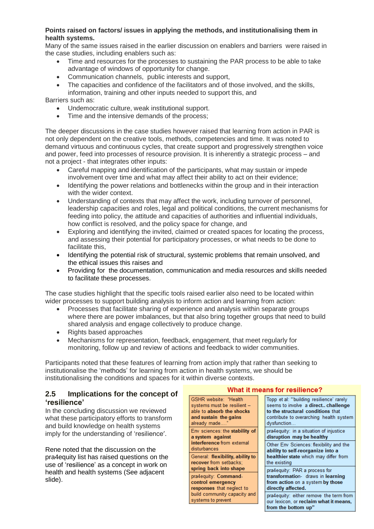### **Points raised on factors/ issues in applying the methods, and institutionalising them in health systems.**

Many of the same issues raised in the earlier discussion on enablers and barriers were raised in the case studies, including enablers such as:

- Time and resources for the processes to sustaining the PAR process to be able to take advantage of windows of opportunity for change.
- Communication channels, public interests and support,
- The capacities and confidence of the facilitators and of those involved, and the skills,
- information, training and other inputs needed to support this, and

#### Barriers such as:

- Undemocratic culture, weak institutional support.
- Time and the intensive demands of the process:

The deeper discussions in the case studies however raised that learning from action in PAR is not only dependent on the creative tools, methods, competencies and time. It was noted to demand virtuous and continuous cycles, that create support and progressively strengthen voice and power, feed into processes of resource provision. It is inherently a strategic process – and not a project - that integrates other inputs:

- Careful mapping and identification of the participants, what may sustain or impede involvement over time and what may affect their ability to act on their evidence;
- Identifying the power relations and bottlenecks within the group and in their interaction with the wider context.
- Understanding of contexts that may affect the work, including turnover of personnel, leadership capacities and roles, legal and political conditions, the current mechanisms for feeding into policy, the attitude and capacities of authorities and influential individuals, how conflict is resolved, and the policy space for change, and
- Exploring and identifying the invited, claimed or created spaces for locating the process, and assessing their potential for participatory processes, or what needs to be done to facilitate this,
- Identifying the potential risk of structural, systemic problems that remain unsolved, and the ethical issues this raises and
- Providing for the documentation, communication and media resources and skills needed to facilitate these processes.

The case studies highlight that the specific tools raised earlier also need to be located within wider processes to support building analysis to inform action and learning from action:

- Processes that facilitate sharing of experience and analysis within separate groups where there are power imbalances, but that also bring together groups that need to build shared analysis and engage collectively to produce change.
- Rights based approaches
- Mechanisms for representation, feedback, engagement, that meet regularly for monitoring, follow up and review of actions and feedback to wider communities.

Participants noted that these features of learning from action imply that rather than seeking to institutionalise the 'methods' for learning from action in health systems, we should be institutionalising the conditions and spaces for it within diverse contexts.

## **2.5 Implications for the concept of 'resilience'**

In the concluding discussion we reviewed what these participatory efforts to transform and build knowledge on health systems imply for the understanding of 'resilience'.

Rene noted that the discussion on the pra4equity list has raised questions on the use of 'resilience' as a concept in work on health and health systems (See adjacent slide).

#### What it means for resilience?

| <b>GSHR</b> website: "Health     | Topp et al: "building resilience' rarely |  |
|----------------------------------|------------------------------------------|--|
| systems must be resilient -      | seems to involve a direct challenge      |  |
| able to absorb the shocks        | to the structural conditions that        |  |
| and sustain the gains            | contribute to overarching health system  |  |
| already made"                    | dysfunction.                             |  |
| Env sciences: the stability of   | pra4equity: in a situation of injustice  |  |
| a system against                 | disruption may be healthy                |  |
| interference from external       | Other Env Sciences: flexibility and the  |  |
| disturbances                     | ability to self-reorganize into a        |  |
| General: flexibility, ability to | healthier state which may differ from    |  |
| recover from setbacks:           | the existing                             |  |
| spring back into shape           | pra4equity: PAR a process for            |  |
| pra4equity: Command-             | transformation- draws in learning        |  |
| control emergency                | from action on a system by those         |  |
| responses that neglect to        | directly affected.                       |  |
| build community capacity and     | pra4equity: either remove the term from  |  |
| systems to prevent               | our lexicon, or reclaim what it means,   |  |
|                                  | from the bottom up"                      |  |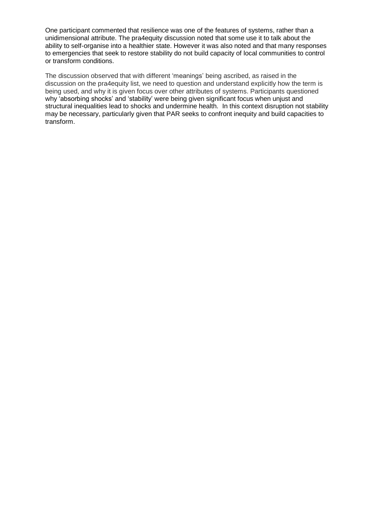One participant commented that resilience was one of the features of systems, rather than a unidimensional attribute. The pra4equity discussion noted that some use it to talk about the ability to self-organise into a healthier state. However it was also noted and that many responses to emergencies that seek to restore stability do not build capacity of local communities to control or transform conditions.

The discussion observed that with different 'meanings' being ascribed, as raised in the discussion on the pra4equity list, we need to question and understand explicitly how the term is being used, and why it is given focus over other attributes of systems. Participants questioned why 'absorbing shocks' and 'stability' were being given significant focus when unjust and structural inequalities lead to shocks and undermine health. In this context disruption not stability may be necessary, particularly given that PAR seeks to confront inequity and build capacities to transform.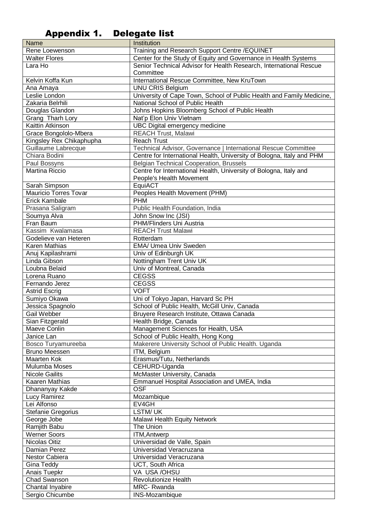# Appendix 1. Delegate list

| Name                         | Institution                                                           |
|------------------------------|-----------------------------------------------------------------------|
| Rene Loewenson               | Training and Research Support Centre / EQUINET                        |
| <b>Walter Flores</b>         | Center for the Study of Equity and Governance in Health Systems       |
| Lara Ho                      | Senior Technical Advisor for Health Research, International Rescue    |
|                              | Committee                                                             |
| Kelvin Koffa Kun             | International Rescue Committee, New KruTown                           |
| Ana Amaya                    | <b>UNU CRIS Belgium</b>                                               |
| Leslie London                | University of Cape Town, School of Public Health and Family Medicine, |
| Zakaria Belrhili             | National School of Public Health                                      |
| Douglas Glandon              | Johns Hopkins Bloomberg School of Public Health                       |
| Grang Tharh Lory             | Nat'p Elon Univ Vietnam                                               |
| Kaittin Atkinson             | UBC Digital emergency medicine                                        |
| Grace Bongololo-Mbera        | <b>REACH Trust, Malawi</b>                                            |
| Kingsley Rex Chikaphupha     | <b>Reach Trust</b>                                                    |
| Guillaume Labrecque          | Technical Advisor, Governance   International Rescue Committee        |
| Chiara Bodini                | Centre for International Health, University of Bologna, Italy and PHM |
| Paul Bossyns                 | Belgian Technical Cooperation, Brussels                               |
| Martina Riccio               | Centre for International Health, University of Bologna, Italy and     |
|                              | People's Health Movement                                              |
| Sarah Simpson                | EquiACT                                                               |
| <b>Mauricio Torres Tovar</b> | Peoples Health Movement (PHM)                                         |
| Erick Kambale                | <b>PHM</b>                                                            |
| Prasana Saligram             | Public Health Foundation, India                                       |
| Soumya Alva                  | John Snow Inc (JSI)                                                   |
| Fran Baum                    | PHM/Flinders Uni Austria                                              |
| Kassim Kwalamasa             | <b>REACH Trust Malawi</b>                                             |
| Godelieve van Heteren        | Rotterdam                                                             |
| Karen Mathias                | EMA/ Umea Univ Sweden                                                 |
| Anuj Kapilashrami            | Univ of Edinburgh UK                                                  |
| Linda Gibson                 |                                                                       |
|                              | Nottingham Trent Univ UK                                              |
| Loubna Belaid                | Univ of Montreal, Canada                                              |
| Lorena Ruano                 | <b>CEGSS</b>                                                          |
| Fernando Jerez               | <b>CEGSS</b>                                                          |
| <b>Astrid Escrig</b>         | <b>VOFT</b>                                                           |
| Sumiyo Okawa                 | Uni of Tokyo Japan, Harvard Sc PH                                     |
| Jessica Spagnolo             | School of Public Health, McGill Univ, Canada                          |
| Gail Webber                  | Bruyere Research Institute, Ottawa Canada                             |
| Sian Fitzgerald              | Health Bridge, Canada                                                 |
| Maeve Conlin                 | Management Sciences for Health, USA                                   |
| Janice Lan                   | School of Public Health, Hong Kong                                    |
| Bosco Turyamureeba           | Makerere University School of Public Health. Uganda                   |
| <b>Bruno Meessen</b>         | ITM, Belgium                                                          |
| <b>Maarten Kok</b>           | Erasmus/Tutu, Netherlands                                             |
| Mulumba Moses                | CEHURD-Uganda                                                         |
| <b>Nicole Gailits</b>        | McMaster University, Canada                                           |
| Kaaren Mathias               | Emmanuel Hospital Association and UMEA, India                         |
| Dhananyay Kakde              | <b>OSF</b>                                                            |
| Lucy Ramirez                 | Mozambique                                                            |
| Lei Alfonso                  | EV4GH                                                                 |
| Stefanie Gregorius           | LSTM/UK                                                               |
| George Jobe                  | Malawi Health Equity Network                                          |
| Ramjith Babu                 | The Union                                                             |
| <b>Werner Soors</b>          | <b>ITM, Antwerp</b>                                                   |
| Nicolas Oitiz                | Universidad de Valle, Spain                                           |
| Damian Perez                 | Universidad Veracruzana                                               |
| Nestor Cabiera               | Universidad Veracruzana                                               |
| Gina Teddy                   | UCT, South Africa                                                     |
| Anais Tuepkr                 | VA USA /OHSU                                                          |
| Chad Swanson                 | Revolutionize Health                                                  |
| Chantal Inyabire             | <b>MRC-Rwanda</b>                                                     |
| Sergio Chicumbe              | INS-Mozambique                                                        |